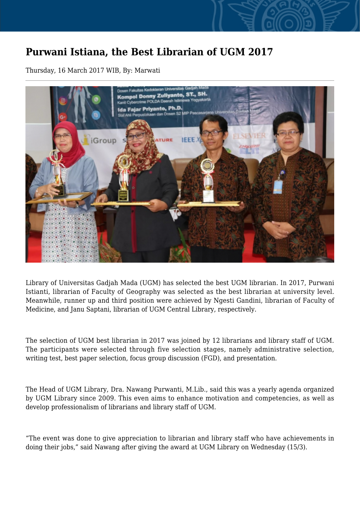## **Purwani Istiana, the Best Librarian of UGM 2017**

Thursday, 16 March 2017 WIB, By: Marwati



Library of Universitas Gadjah Mada (UGM) has selected the best UGM librarian. In 2017, Purwani Istianti, librarian of Faculty of Geography was selected as the best librarian at university level. Meanwhile, runner up and third position were achieved by Ngesti Gandini, librarian of Faculty of Medicine, and Janu Saptani, librarian of UGM Central Library, respectively.

The selection of UGM best librarian in 2017 was joined by 12 librarians and library staff of UGM. The participants were selected through five selection stages, namely administrative selection, writing test, best paper selection, focus group discussion (FGD), and presentation.

The Head of UGM Library, Dra. Nawang Purwanti, M.Lib., said this was a yearly agenda organized by UGM Library since 2009. This even aims to enhance motivation and competencies, as well as develop professionalism of librarians and library staff of UGM.

"The event was done to give appreciation to librarian and library staff who have achievements in doing their jobs," said Nawang after giving the award at UGM Library on Wednesday (15/3).